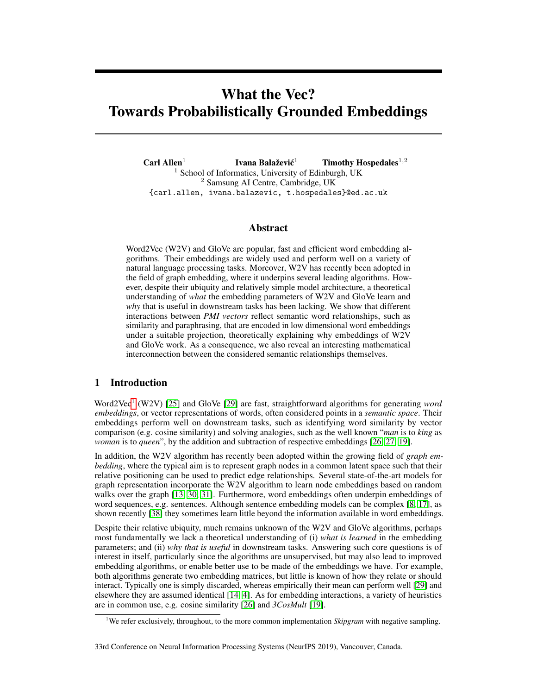# What the Vec? Towards Probabilistically Grounded Embeddings

Carl Allen $1$ Ivana Balažević<sup>1</sup> Timothy Hospedales $^{1,2}$  $1$  School of Informatics, University of Edinburgh, UK <sup>2</sup> Samsung AI Centre, Cambridge, UK {carl.allen, ivana.balazevic, t.hospedales}@ed.ac.uk

# Abstract

Word2Vec (W2V) and GloVe are popular, fast and efficient word embedding algorithms. Their embeddings are widely used and perform well on a variety of natural language processing tasks. Moreover, W2V has recently been adopted in the field of graph embedding, where it underpins several leading algorithms. However, despite their ubiquity and relatively simple model architecture, a theoretical understanding of *what* the embedding parameters of W2V and GloVe learn and *why* that is useful in downstream tasks has been lacking. We show that different interactions between *PMI vectors* reflect semantic word relationships, such as similarity and paraphrasing, that are encoded in low dimensional word embeddings under a suitable projection, theoretically explaining why embeddings of W2V and GloVe work. As a consequence, we also reveal an interesting mathematical interconnection between the considered semantic relationships themselves.

# 1 Introduction

Word2Vec<sup>[1](#page-0-0)</sup> (W2V) [\[25\]](#page-9-0) and GloVe [\[29\]](#page-9-1) are fast, straightforward algorithms for generating *word embeddings*, or vector representations of words, often considered points in a *semantic space*. Their embeddings perform well on downstream tasks, such as identifying word similarity by vector comparison (e.g. cosine similarity) and solving analogies, such as the well known "*man* is to *king* as *woman* is to *queen*", by the addition and subtraction of respective embeddings [\[26,](#page-9-2) [27,](#page-9-3) [19\]](#page-9-4).

In addition, the W2V algorithm has recently been adopted within the growing field of *graph embedding*, where the typical aim is to represent graph nodes in a common latent space such that their relative positioning can be used to predict edge relationships. Several state-of-the-art models for graph representation incorporate the W2V algorithm to learn node embeddings based on random walks over the graph [\[13,](#page-8-0) [30,](#page-9-5) [31\]](#page-9-6). Furthermore, word embeddings often underpin embeddings of word sequences, e.g. sentences. Although sentence embedding models can be complex [\[8,](#page-8-1) [17\]](#page-9-7), as shown recently [\[38\]](#page-10-0) they sometimes learn little beyond the information available in word embeddings.

Despite their relative ubiquity, much remains unknown of the W2V and GloVe algorithms, perhaps most fundamentally we lack a theoretical understanding of (i) *what is learned* in the embedding parameters; and (ii) *why that is useful* in downstream tasks. Answering such core questions is of interest in itself, particularly since the algorithms are unsupervised, but may also lead to improved embedding algorithms, or enable better use to be made of the embeddings we have. For example, both algorithms generate two embedding matrices, but little is known of how they relate or should interact. Typically one is simply discarded, whereas empirically their mean can perform well [\[29\]](#page-9-1) and elsewhere they are assumed identical [\[14,](#page-8-2) [4\]](#page-8-3). As for embedding interactions, a variety of heuristics are in common use, e.g. cosine similarity [\[26\]](#page-9-2) and *3CosMult* [\[19\]](#page-9-4).

<span id="page-0-0"></span><sup>&</sup>lt;sup>1</sup>We refer exclusively, throughout, to the more common implementation *Skipgram* with negative sampling.

<sup>33</sup>rd Conference on Neural Information Processing Systems (NeurIPS 2019), Vancouver, Canada.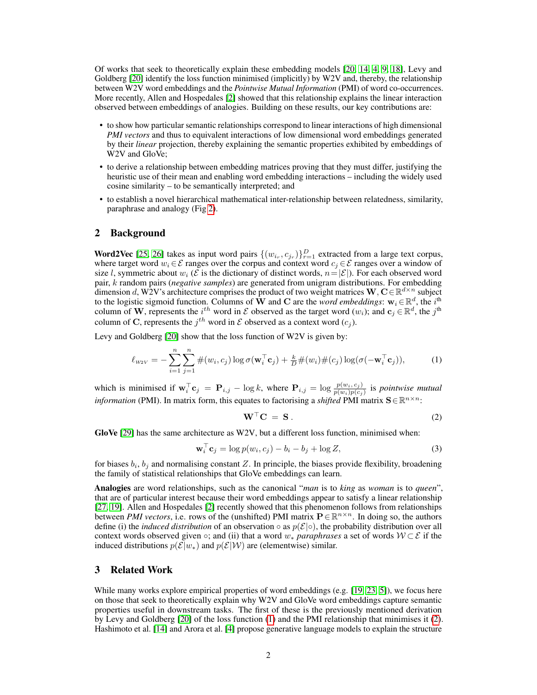Of works that seek to theoretically explain these embedding models [\[20,](#page-9-8) [14,](#page-8-2) [4,](#page-8-3) [9,](#page-8-4) [18\]](#page-9-9), Levy and Goldberg [\[20\]](#page-9-8) identify the loss function minimised (implicitly) by W2V and, thereby, the relationship between W2V word embeddings and the *Pointwise Mutual Information* (PMI) of word co-occurrences. More recently, Allen and Hospedales [\[2\]](#page-8-5) showed that this relationship explains the linear interaction observed between embeddings of analogies. Building on these results, our key contributions are:

- to show how particular semantic relationships correspond to linear interactions of high dimensional *PMI vectors* and thus to equivalent interactions of low dimensional word embeddings generated by their *linear* projection, thereby explaining the semantic properties exhibited by embeddings of W2V and GloVe;
- to derive a relationship between embedding matrices proving that they must differ, justifying the heuristic use of their mean and enabling word embedding interactions – including the widely used cosine similarity – to be semantically interpreted; and
- to establish a novel hierarchical mathematical inter-relationship between relatedness, similarity, paraphrase and analogy (Fig [2\)](#page-7-0).

## <span id="page-1-2"></span>2 Background

**Word2Vec** [\[25,](#page-9-0) [26\]](#page-9-2) takes as input word pairs  $\{(w_{i_r}, c_{j_r})\}_{r=1}^D$  extracted from a large text corpus, where target word  $w_i \in \mathcal{E}$  ranges over the corpus and context word  $c_j \in \mathcal{E}$  ranges over a window of size l, symmetric about  $w_i$  ( $\mathcal E$  is the dictionary of distinct words,  $n = |\mathcal E|$ ). For each observed word pair, k random pairs (*negative samples*) are generated from unigram distributions. For embedding dimension d, W2V's architecture comprises the product of two weight matrices  $\mathbf{W}, \mathbf{C} \in \mathbb{R}^{d \times n}$  subject to the logistic sigmoid function. Columns of  $\mathbf{\dot{W}}$  and C are the *word embeddings*:  $\mathbf{w}_i \in \mathbb{R}^d$ , the *i*<sup>th</sup> column of W, represents the  $i^{th}$  word in  $\mathcal E$  observed as the target word  $(w_i)$ ; and  $c_j \in \mathbb R^d$ , the  $j^{\text{th}}$ column of C, represents the  $j^{th}$  word in  $\mathcal E$  observed as a context word  $(c_j)$ .

Levy and Goldberg [\[20\]](#page-9-8) show that the loss function of W2V is given by:

$$
\ell_{w2V} = -\sum_{i=1}^{n} \sum_{j=1}^{n} \#(w_i, c_j) \log \sigma(\mathbf{w}_i^{\top} \mathbf{c}_j) + \frac{k}{D} \#(w_i) \#(c_j) \log(\sigma(-\mathbf{w}_i^{\top} \mathbf{c}_j)),
$$
 (1)

which is minimised if  $\mathbf{w}_i^{\top} \mathbf{c}_j = \mathbf{P}_{i,j} - \log k$ , where  $\mathbf{P}_{i,j} = \log \frac{p(w_i, c_j)}{p(w_i)p(c_j)}$  is *pointwise mutual information* (PMI). In matrix form, this equates to factorising a *shifted* PMI matrix  $S \in \mathbb{R}^{n \times n}$ :

<span id="page-1-3"></span><span id="page-1-1"></span><span id="page-1-0"></span>
$$
\mathbf{W}^{\top}\mathbf{C} = \mathbf{S} \,. \tag{2}
$$

GloVe  $[29]$  has the same architecture as W2V, but a different loss function, minimised when:

$$
\mathbf{w}_i^{\top} \mathbf{c}_j = \log p(w_i, c_j) - b_i - b_j + \log Z,\tag{3}
$$

for biases  $b_i$ ,  $b_j$  and normalising constant Z. In principle, the biases provide flexibility, broadening the family of statistical relationships that GloVe embeddings can learn.

Analogies are word relationships, such as the canonical "*man* is to *king* as *woman* is to *queen*", that are of particular interest because their word embeddings appear to satisfy a linear relationship [\[27,](#page-9-3) [19\]](#page-9-4). Allen and Hospedales [\[2\]](#page-8-5) recently showed that this phenomenon follows from relationships between *PMI vectors*, i.e. rows of the (unshifted) PMI matrix  $P \in \mathbb{R}^{n \times n}$ . In doing so, the authors define (i) the *induced distribution* of an observation  $\circ$  as  $p(\mathcal{E}|\circ)$ , the probability distribution over all context words observed given  $\circ$ ; and (ii) that a word  $w_*$  *paraphrases* a set of words  $W \subset \mathcal{E}$  if the induced distributions  $p(\mathcal{E}|w_*)$  and  $p(\mathcal{E}|W)$  are (elementwise) similar.

## 3 Related Work

While many works explore empirical properties of word embeddings (e.g. [\[19,](#page-9-4) [23,](#page-9-10) [5\]](#page-8-6)), we focus here on those that seek to theoretically explain why W2V and GloVe word embeddings capture semantic properties useful in downstream tasks. The first of these is the previously mentioned derivation by Levy and Goldberg [\[20\]](#page-9-8) of the loss function [\(1\)](#page-1-0) and the PMI relationship that minimises it [\(2\)](#page-1-1). Hashimoto et al. [\[14\]](#page-8-2) and Arora et al. [\[4\]](#page-8-3) propose generative language models to explain the structure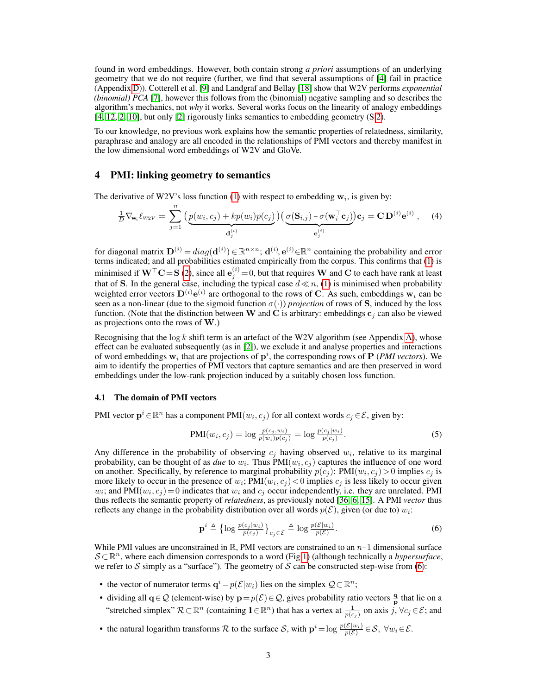found in word embeddings. However, both contain strong *a priori* assumptions of an underlying geometry that we do not require (further, we find that several assumptions of [\[4\]](#page-8-3) fail in practice (Appendix D)). Cotterell et al. [\[9\]](#page-8-4) and Landgraf and Bellay [\[18\]](#page-9-9) show that W2V performs *exponential (binomial) PCA* [\[7\]](#page-8-7), however this follows from the (binomial) negative sampling and so describes the algorithm's mechanics, not *why* it works. Several works focus on the linearity of analogy embeddings [\[4,](#page-8-3) [12,](#page-8-8) [2,](#page-8-5) [10\]](#page-8-9), but only [\[2\]](#page-8-5) rigorously links semantics to embedding geometry (S[.2\)](#page-1-2).

To our knowledge, no previous work explains how the semantic properties of relatedness, similarity, paraphrase and analogy are all encoded in the relationships of PMI vectors and thereby manifest in the low dimensional word embeddings of W2V and GloVe.

## <span id="page-2-1"></span>4 PMI: linking geometry to semantics

The derivative of W2V's loss function [\(1\)](#page-1-0) with respect to embedding  $w_i$ , is given by:

$$
\frac{1}{D} \nabla_{\mathbf{w}_i} \ell_{w2V} = \sum_{j=1}^n \left( \underbrace{p(w_i, c_j) + kp(w_i)p(c_j)}_{\mathbf{d}_j^{(i)}} \right) \left( \underbrace{\sigma(\mathbf{S}_{i,j}) - \sigma(\mathbf{w}_i^\top \mathbf{c}_j)}_{\mathbf{e}_j^{(i)}} \right) \mathbf{c}_j = \mathbf{C} \mathbf{D}^{(i)} \mathbf{e}^{(i)} , \quad (4)
$$

for diagonal matrix  $\mathbf{D}^{(i)} = diag(\mathbf{d}^{(i)}) \in \mathbb{R}^{n \times n}$ ;  $\mathbf{d}^{(i)}$ ,  $\mathbf{e}^{(i)} \in \mathbb{R}^n$  containing the probability and error terms indicated; and all probabilities estimated empirically from the corpus. This confirms that [\(1\)](#page-1-0) is minimised if  $W^\top C = S$  [\(2\)](#page-1-1), since all  $e_j^{(i)} = 0$ , but that requires W and C to each have rank at least that of S. In the general case, including the typical case  $d \ll n$ , [\(1\)](#page-1-0) is minimised when probability weighted error vectors  $D^{(i)}e^{(i)}$  are orthogonal to the rows of C. As such, embeddings  $w_i$  can be seen as a non-linear (due to the sigmoid function  $\sigma(\cdot)$ ) *projection* of rows of S, induced by the loss function. (Note that the distinction between W and C is arbitrary: embeddings  $c_i$  can also be viewed as projections onto the rows of  $W$ .)

Recognising that the  $log k$  shift term is an artefact of the W2V algorithm (see Appendix A), whose effect can be evaluated subsequently (as in [\[2\]](#page-8-5)), we exclude it and analyse properties and interactions of word embeddings  $w_i$  that are projections of  $p^i$ , the corresponding rows of  $P$  (*PMI vectors*). We aim to identify the properties of PMI vectors that capture semantics and are then preserved in word embeddings under the low-rank projection induced by a suitably chosen loss function.

## <span id="page-2-2"></span>4.1 The domain of PMI vectors

PMI vector  $\mathbf{p}^i \in \mathbb{R}^n$  has a component PMI $(w_i, c_j)$  for all context words  $c_j \in \mathcal{E}$ , given by:

$$
PMI(w_i, c_j) = \log \frac{p(c_j, w_i)}{p(w_i)p(c_j)} = \log \frac{p(c_j|w_i)}{p(c_j)}.
$$
\n(5)

Any difference in the probability of observing  $c_j$  having observed  $w_i$ , relative to its marginal probability, can be thought of as *due* to  $w_i$ . Thus  $PMI(w_i, c_j)$  captures the influence of one word on another. Specifically, by reference to marginal probability  $p(c_j)$ : PMI $(w_i, c_j) > 0$  implies  $c_j$  is more likely to occur in the presence of  $w_i$ ; PMI $(w_i, c_j)$  < 0 implies  $c_j$  is less likely to occur given  $w_i$ ; and PMI $(w_i, c_j) = 0$  indicates that  $w_i$  and  $c_j$  occur independently, i.e. they are unrelated. PMI thus reflects the semantic property of *relatedness*, as previously noted [\[36,](#page-10-1) [6,](#page-8-10) [15\]](#page-8-11). A PMI *vector* thus reflects any change in the probability distribution over all words  $p(\mathcal{E})$ , given (or due to)  $w_i$ :

<span id="page-2-0"></span>
$$
\mathbf{p}^i \triangleq \left\{ \log \frac{p(c_j|w_i)}{p(c_j)} \right\}_{c_j \in \mathcal{E}} \triangleq \log \frac{p(\mathcal{E}|w_i)}{p(\mathcal{E})}.
$$
 (6)

While PMI values are unconstrained in R, PMI vectors are constrained to an  $n-1$  dimensional surface S ⊂R <sup>n</sup>, where each dimension corresponds to a word (Fig [1\)](#page-3-0) (although technically a *hypersurface*, we refer to S simply as a "surface"). The geometry of S can be constructed step-wise from [\(6\)](#page-2-0):

- the vector of numerator terms  $\mathbf{q}^i = p(\mathcal{E}|w_i)$  lies on the simplex  $\mathcal{Q} \subset \mathbb{R}^n$ ;
- dividing all  $q \in \mathcal{Q}$  (element-wise) by  $p = p(\mathcal{E}) \in \mathcal{Q}$ , gives probability ratio vectors  $\frac{q}{p}$  that lie on a "stretched simplex"  $\mathcal{R} \subset \mathbb{R}^n$  (containing  $\mathbf{1} \in \mathbb{R}^n$ ) that has a vertex at  $\frac{1}{p(c_j)}$  on axis  $j, \forall c_j \in \mathcal{E}$ ; and
- the natural logarithm transforms R to the surface S, with  $\mathbf{p}^i = \log \frac{p(\mathcal{E}|w_i)}{p(\mathcal{E})} \in \mathcal{S}$ ,  $\forall w_i \in \mathcal{E}$ .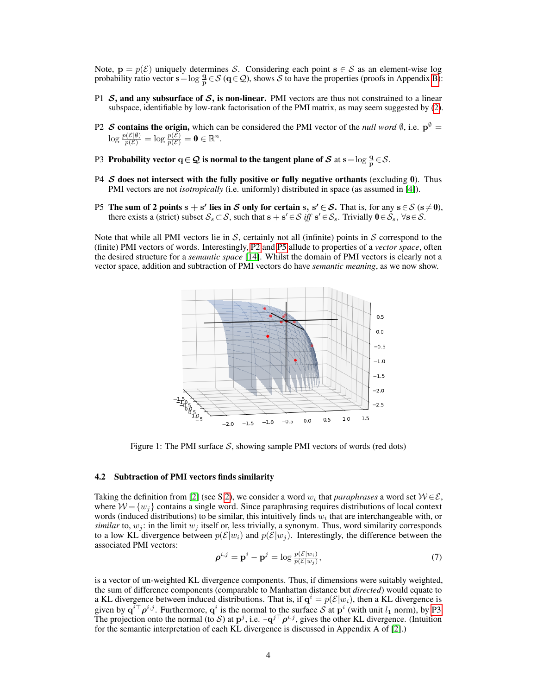Note,  $\mathbf{p} = p(\mathcal{E})$  uniquely determines S. Considering each point  $\mathbf{s} \in \mathcal{S}$  as an element-wise log probability ratio vector  $\mathbf{s} = \log \frac{\mathbf{q}}{\mathbf{p}} \in \mathcal{S}$  ( $\mathbf{q} \in \mathcal{Q}$ ), shows  $\mathcal{S}$  to have the properties (proofs in Appendix B):

- P1  $S$ , and any subsurface of  $S$ , is non-linear. PMI vectors are thus not constrained to a linear subspace, identifiable by low-rank factorisation of the PMI matrix, as may seem suggested by [\(2\)](#page-1-1).
- <span id="page-3-1"></span>P2 S contains the origin, which can be considered the PMI vector of the *null word*  $\emptyset$ , i.e.  $p^{\emptyset} =$  $\log \frac{p(\mathcal{E}|\emptyset)}{p(\mathcal{E})} = \log \frac{p(\mathcal{E})}{p(\mathcal{E})} = \mathbf{0} \in \mathbb{R}^n.$
- <span id="page-3-3"></span>P3 Probability vector  $q \in \mathcal{Q}$  is normal to the tangent plane of S at s =  $\log \frac{q}{p} \in \mathcal{S}$ .
- P4  $\mathcal S$  does not intersect with the fully positive or fully negative orthants (excluding 0). Thus PMI vectors are not *isotropically* (i.e. uniformly) distributed in space (as assumed in [\[4\]](#page-8-3)).
- <span id="page-3-2"></span>P5 The sum of 2 points  $s + s'$  lies in S only for certain s,  $s' \in S$ . That is, for any  $s \in S$  ( $s \neq 0$ ), there exists a (strict) subset  $S_s \subset S$ , such that  $s + s' \in S$  *iff*  $s' \in S_s$ . Trivially  $0 \in S_s$ ,  $\forall s \in S$ .

<span id="page-3-0"></span>Note that while all PMI vectors lie in  $S$ , certainly not all (infinite) points in  $S$  correspond to the (finite) PMI vectors of words. Interestingly, [P2](#page-3-1) and [P5](#page-3-2) allude to properties of a *vector space*, often the desired structure for a *semantic space* [\[14\]](#page-8-2). Whilst the domain of PMI vectors is clearly not a vector space, addition and subtraction of PMI vectors do have *semantic meaning*, as we now show.



Figure 1: The PMI surface  $S$ , showing sample PMI vectors of words (red dots)

#### <span id="page-3-5"></span>4.2 Subtraction of PMI vectors finds similarity

Taking the definition from [\[2\]](#page-8-5) (see S[.2\)](#page-1-2), we consider a word  $w_i$  that *paraphrases* a word set  $W \in \mathcal{E}$ , where  $W = \{w_i\}$  contains a single word. Since paraphrasing requires distributions of local context words (induced distributions) to be similar, this intuitively finds  $w_i$  that are interchangeable with, or *similar* to,  $w_j$ : in the limit  $w_j$  itself or, less trivially, a synonym. Thus, word similarity corresponds to a low KL divergence between  $p(\mathcal{E}|w_i)$  and  $p(\mathcal{E}|w_j)$ . Interestingly, the difference between the associated PMI vectors:

<span id="page-3-4"></span>
$$
\boldsymbol{\rho}^{i,j} = \mathbf{p}^i - \mathbf{p}^j = \log \frac{p(\mathcal{E}|w_i)}{p(\mathcal{E}|w_j)},\tag{7}
$$

is a vector of un-weighted KL divergence components. Thus, if dimensions were suitably weighted, the sum of difference components (comparable to Manhattan distance but *directed*) would equate to a KL divergence between induced distributions. That is, if  $q^i = p(\mathcal{E}|w_i)$ , then a KL divergence is given by  $q^{i\top}\rho^{i,j}$ . Furthermore,  $q^i$  is the normal to the surface S at  $p^i$  (with unit  $l_1$  norm), by [P3.](#page-3-3) The projection onto the normal (to S) at  $\mathbf{p}^j$ , i.e.  $-\mathbf{q}^{j\top}\rho^{i,j}$ , gives the other KL divergence. (Intuition for the semantic interpretation of each KL divergence is discussed in Appendix A of [\[2\]](#page-8-5).)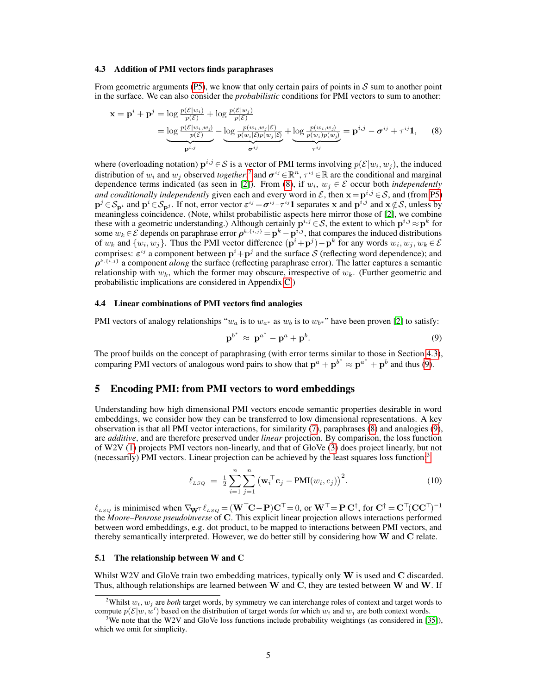#### <span id="page-4-2"></span>4.3 Addition of PMI vectors finds paraphrases

From geometric arguments [\(P5\)](#page-3-2), we know that only certain pairs of points in  $S$  sum to another point in the surface. We can also consider the *probabilistic* conditions for PMI vectors to sum to another:

$$
\mathbf{x} = \mathbf{p}^i + \mathbf{p}^j = \log \frac{p(\mathcal{E}|w_i)}{p(\mathcal{E})} + \log \frac{p(\mathcal{E}|w_j)}{p(\mathcal{E})}
$$
  
= 
$$
\underbrace{\log \frac{p(\mathcal{E}|w_i, w_j)}{p(\mathcal{E})}}_{\mathbf{p}^{i,j}} - \underbrace{\log \frac{p(w_i, w_j | \mathcal{E})}{p(w_i | \mathcal{E}) p(w_j | \mathcal{E})}}_{\sigma^{ij}} + \underbrace{\log \frac{p(w_i, w_j)}{p(w_i) p(w_j)}}_{\tau^{ij}} = \mathbf{p}^{i,j} - \sigma^{ij} + \tau^{ij} \mathbf{1}, \qquad (8)
$$

where (overloading notation)  $p^{i,j} \in S$  is a vector of PMI terms involving  $p(\mathcal{E}|w_i, w_j)$ , the induced distribution of  $w_i$  and  $w_j$  observed *together*;<sup>[2](#page-4-0)</sup> and  $\sigma^{ij} \in \mathbb{R}^n$ ,  $\tau^{ij} \in \mathbb{R}$  are the conditional and marginal dependence terms indicated (as seen in [\[2\]](#page-8-5)). From [\(8\)](#page-4-1), if  $w_i, w_j \in \mathcal{E}$  occur both *independently and conditionally independently* given each and every word in  $\mathcal{E}$ , then  $\mathbf{x} = \mathbf{p}^{i,j} \in \mathcal{S}$ , and (from [P5\)](#page-3-2)  $\mathbf{p}^j \in \mathcal{S}_{\mathbf{p}^j}$  and  $\mathbf{p}^i \in \mathcal{S}_{\mathbf{p}^j}$ . If not, error vector  $\varepsilon^{ij} = \sigma^{ij} - \tau^{ij} \mathbf{1}$  separates x and  $\mathbf{p}^{\bar{i},j}$  and  $\mathbf{x} \notin \mathcal{S}$ , unless by meaningless coincidence. (Note, whilst probabilistic aspects here mirror those of [\[2\]](#page-8-5), we combine these with a geometric understanding.) Although certainly  $\mathbf{p}^{i,j} \in S$ , the extent to which  $\mathbf{p}^{i,j} \approx \mathbf{p}^k$  for some  $w_k \in \mathcal{E}$  depends on paraphrase error  $\rho^{k, \{i,j\}} = \mathbf{p}^k - \mathbf{p}^{i,j}$ , that compares the induced distributions of  $w_k$  and  $\{w_i, w_j\}$ . Thus the PMI vector difference  $(\mathbf{p}^i + \mathbf{p}^j) - \mathbf{p}^k$  for any words  $w_i, w_j, w_k \in \mathcal{E}$ comprises:  $\varepsilon^{ij}$  a component between  $\mathbf{p}^i + \mathbf{p}^j$  and the surface S (reflecting word dependence); and  $\rho^{k, \{i,j\}}$  a component *along* the surface (reflecting paraphrase error). The latter captures a semantic relationship with  $w_k$ , which the former may obscure, irrespective of  $w_k$ . (Further geometric and probabilistic implications are considered in Appendix C.)

## <span id="page-4-5"></span>4.4 Linear combinations of PMI vectors find analogies

PMI vectors of analogy relationships " $w_a$  is to  $w_{a*}$  as  $w_b$  is to  $w_{b*}$ " have been proven [\[2\]](#page-8-5) to satisfy:

<span id="page-4-8"></span><span id="page-4-3"></span><span id="page-4-1"></span>
$$
\mathbf{p}^{b^*} \approx \mathbf{p}^{a^*} - \mathbf{p}^a + \mathbf{p}^b. \tag{9}
$$

The proof builds on the concept of paraphrasing (with error terms similar to those in Section [4.3\)](#page-4-2), comparing PMI vectors of analogous word pairs to show that  $\mathbf{p}^{a} + \mathbf{p}^{b^*} \approx \mathbf{p}^{a^*} + \mathbf{p}^{b}$  and thus [\(9\)](#page-4-3).

## <span id="page-4-6"></span>5 Encoding PMI: from PMI vectors to word embeddings

Understanding how high dimensional PMI vectors encode semantic properties desirable in word embeddings, we consider how they can be transferred to low dimensional representations. A key observation is that all PMI vector interactions, for similarity [\(7\)](#page-3-4), paraphrases [\(8\)](#page-4-1) and analogies [\(9\)](#page-4-3), are *additive*, and are therefore preserved under *linear* projection. By comparison, the loss function of W2V [\(1\)](#page-1-0) projects PMI vectors non-linearly, and that of GloVe [\(3\)](#page-1-3) does project linearly, but not (necessarily) PMI vectors. Linear projection can be achieved by the least squares loss function:[3](#page-4-4)

$$
\ell_{LSQ} = \frac{1}{2} \sum_{i=1}^{n} \sum_{j=1}^{n} (\mathbf{w}_i^{\top} \mathbf{c}_j - \text{PMI}(w_i, c_j))^2.
$$
 (10)

 $\ell_{LSQ}$  is minimised when  $\nabla_{\mathbf{W}^{\top}} \ell_{LSQ} = (\mathbf{W}^{\top}\mathbf{C} - \mathbf{P})\mathbf{C}^{\top} = 0$ , or  $\mathbf{W}^{\top} = \mathbf{P} \mathbf{C}^{\dagger}$ , for  $\mathbf{C}^{\dagger} = \mathbf{C}^{\top}(\mathbf{C} \mathbf{C}^{\top})^{-1}$ the *Moore–Penrose pseudoinverse* of C. This explicit linear projection allows interactions performed between word embeddings, e.g. dot product, to be mapped to interactions between PMI vectors, and thereby semantically interpreted. However, we do better still by considering how  $W$  and  $C$  relate.

## <span id="page-4-7"></span>5.1 The relationship between W and C

Whilst W2V and GloVe train two embedding matrices, typically only W is used and C discarded. Thus, although relationships are learned between W and C, they are tested between W and W. If

<span id="page-4-0"></span><sup>&</sup>lt;sup>2</sup>Whilst  $w_i$ ,  $w_j$  are *both* target words, by symmetry we can interchange roles of context and target words to compute  $p(\mathcal{E}|w, w')$  based on the distribution of target words for which  $w_i$  and  $w_j$  are both context words.

<span id="page-4-4"></span><sup>3</sup>We note that the W2V and GloVe loss functions include probability weightings (as considered in [\[35\]](#page-10-2)), which we omit for simplicity.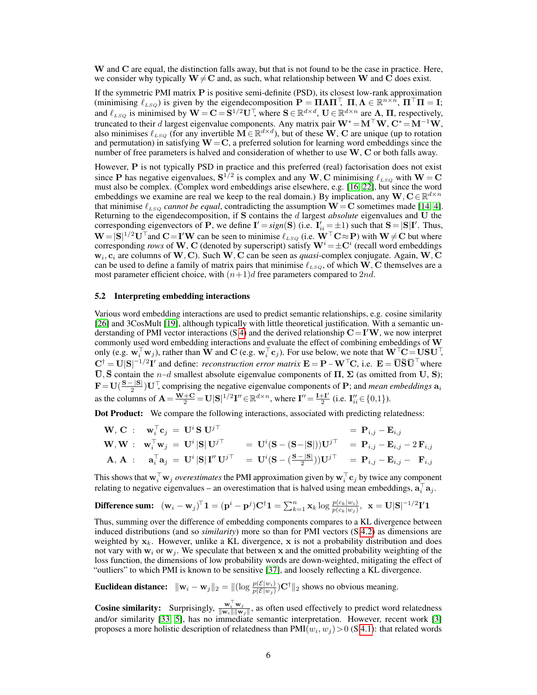W and C are equal, the distinction falls away, but that is not found to be the case in practice. Here, we consider why typically  $W \neq C$  and, as such, what relationship between W and C does exist.

If the symmetric PMI matrix P is positive semi-definite (PSD), its closest low-rank approximation (minimising  $\ell_{LSQ}$ ) is given by the eigendecomposition  $\mathbf{P} = \mathbf{\Pi} \mathbf{\Lambda} \mathbf{\Pi}^\top$ ,  $\mathbf{\Pi}, \mathbf{\Lambda} \in \mathbb{R}^{n \times n}$ ,  $\mathbf{\Pi}^\top \mathbf{\Pi} = \mathbf{I}$ ; and  $\ell_{LSQ}$  is minimised by  $\mathbf{W} = \mathbf{C} = \mathbf{S}^{1/2}\mathbf{U}^{\top}$ , where  $\mathbf{S} \in \mathbb{R}^{d \times d}$ ,  $\mathbf{U} \in \mathbb{R}^{d \times n}$  are  $\Lambda$ ,  $\Pi$ , respectively, truncated to their d largest eigenvalue components. Any matrix pair  $W^* = M^{\top}W$ ,  $C^* = M^{-1}W$ , also minimises  $\ell_{LSQ}$  (for any invertible  $\mathbf{M} \in \mathbb{R}^{d \times d}$ ), but of these  $\mathbf{W}$ ,  $\mathbf{C}$  are unique (up to rotation and permutation) in satisfying  $W = C$ , a preferred solution for learning word embeddings since the number of free parameters is halved and consideration of whether to use  $W$ ,  $C$  or both falls away.

However, P is not typically PSD in practice and this preferred (real) factorisation does not exist since P has negative eigenvalues,  $S^{1/2}$  is complex and any W, C minimising  $\ell_{LSQ}$  with  $W = C$ must also be complex. (Complex word embeddings arise elsewhere, e.g. [\[16,](#page-9-11) [22\]](#page-9-12), but since the word embeddings we examine are real we keep to the real domain.) By implication, any  $W, C \in \mathbb{R}^{d \times n}$ that minimise  $\ell_{LSQ}$  *cannot be equal*, contradicting the assumption  $W = C$  sometimes made [\[14,](#page-8-2) [4\]](#page-8-3). Returning to the eigendecomposition, if S contains the d largest *absolute* eigenvalues and U the corresponding eigenvectors of **P**, we define  $I' = sign(S)$  (i.e.  $I'_{ii} = \pm 1$ ) such that  $S = |S|I'$ . Thus,  $W = |S|^{1/2}U^{\top}$  and  $C = I'W$  can be seen to minimise  $\ell_{LSQ}$  (i.e.  $W^{\top}C \approx P$ ) with  $W \neq C$  but where corresponding *rows* of W, C (denoted by superscript) satisfy  $W^{i} = \pm C^{i}$  (recall word embeddings  $w_i$ ,  $c_i$  are columns of W, C). Such W, C can be seen as *quasi*-complex conjugate. Again, W, C can be used to define a family of matrix pairs that minimise  $\ell_{LSQ}$ , of which  $\hat{W}$ , C themselves are a most parameter efficient choice, with  $(n+1)d$  free parameters compared to 2nd.

#### <span id="page-5-0"></span>5.2 Interpreting embedding interactions

Various word embedding interactions are used to predict semantic relationships, e.g. cosine similarity [\[26\]](#page-9-2) and 3CosMult [\[19\]](#page-9-4), although typically with little theoretical justification. With a semantic un-derstanding of PMI vector interactions (S[.4\)](#page-2-1) and the derived relationship  $\mathbf{C} = \mathbf{I}'\mathbf{W}$ , we now interpret commonly used word embedding interactions and evaluate the effect of combining embeddings of W only (e.g.  $\mathbf{w}_i^{\top} \mathbf{w}_j$ ), rather than  $\mathbf{\bar{W}}$  and  $\mathbf{C}$  (e.g.  $\mathbf{w}_i^{\top} \mathbf{c}_j$ ). For use below, we note that  $\mathbf{W}^{\top} \mathbf{C} = \mathbf{U} \mathbf{S} \mathbf{U}^{\top}$ ,  $C^{\dagger} = U|S|^{-1/2}I'$  and define: *reconstruction error matrix*  $E = P - W^{\top}C$ , i.e.  $E = \overline{U}\overline{S}\overline{U}^{\top}$  where  $\overline{U}$ ,  $\overline{S}$  contain the *n*−*d* smallest absolute eigenvalue components of  $\Pi$ ,  $\Sigma$  (as omitted from U, S);  $\mathbf{F} = \mathbf{U}(\frac{\mathbf{S} - |\mathbf{S}|}{2})$  $\frac{2}{2}$  U<sup>T</sup>, comprising the negative eigenvalue components of **P**; and *mean embeddings*  $a_i$ as the columns of  $\mathbf{A} = \frac{\mathbf{W} + \mathbf{C}}{2} = \mathbf{U}|\mathbf{S}|^{1/2}\mathbf{I}'' \in \mathbb{R}^{d \times n}$ , where  $\mathbf{I}'' = \frac{\mathbf{I} + \mathbf{I}'}{2}$  $\frac{1}{2}$  (i.e.  $I''_{ii} \in \{0,1\}$ ).

Dot Product: We compare the following interactions, associated with predicting relatedness:

$$
\begin{aligned}\n\mathbf{W}, \mathbf{C} : \quad &\mathbf{w}_i^\top \mathbf{c}_j = \mathbf{U}^i \mathbf{S} \mathbf{U}^{j\top} &= \mathbf{U}^i (\mathbf{S} - (\mathbf{S} - |\mathbf{S}|)) \mathbf{U}^{j\top} \\
\mathbf{W}, \mathbf{W} : \quad &\mathbf{w}_i^\top \mathbf{w}_j = \mathbf{U}^i |\mathbf{S} | \mathbf{U}^{j\top} &= \mathbf{U}^i (\mathbf{S} - (\mathbf{S} - |\mathbf{S}|)) \mathbf{U}^{j\top} &= \mathbf{P}_{i,j} - \mathbf{E}_{i,j} - 2 \mathbf{F}_{i,j} \\
\mathbf{A}, \mathbf{A} : \quad &\mathbf{a}_i^\top \mathbf{a}_j = \mathbf{U}^i |\mathbf{S} | \mathbf{I}'' \mathbf{U}^{j\top} &= \mathbf{U}^i (\mathbf{S} - (\frac{\mathbf{S} - |\mathbf{S}|}{2})) \mathbf{U}^{j\top} &= \mathbf{P}_{i,j} - \mathbf{E}_{i,j} - \mathbf{F}_{i,j}\n\end{aligned}
$$

This shows that  $\mathbf{w}_i^\top\mathbf{w}_j$  *overestimates* the PMI approximation given by  $\mathbf{w}_i^\top\mathbf{c}_j$  by twice any component relating to negative eigenvalues – an overestimation that is halved using mean embeddings,  $a_i^{\top} a_j$ .

**Difference sum:** 
$$
(\mathbf{w}_i - \mathbf{w}_j)^T \mathbf{1} = (\mathbf{p}^i - \mathbf{p}^j)\mathbf{C}^{\dagger}\mathbf{1} = \sum_{k=1}^n \mathbf{x}_k \log \frac{p(c_k|w_i)}{p(c_k|w_j)}, \mathbf{x} = \mathbf{U}|\mathbf{S}|^{-1/2}\mathbf{I}'\mathbf{1}
$$

Thus, summing over the difference of embedding components compares to a KL divergence between induced distributions (and so *similarity*) more so than for PMI vectors (S[.4.2\)](#page-3-5) as dimensions are weighted by  $x_k$ . However, unlike a KL divergence, x is not a probability distribution and does not vary with  $w_i$  or  $w_j$ . We speculate that between x and the omitted probability weighting of the loss function, the dimensions of low probability words are down-weighted, mitigating the effect of "outliers" to which PMI is known to be sensitive [\[37\]](#page-10-3), and loosely reflecting a KL divergence.

**Euclidean distance:**  $\|\mathbf{w}_i - \mathbf{w}_j\|_2 = \|(\log \frac{p(\mathcal{E}|w_i)}{p(\mathcal{E}|w_j)}) \mathbf{C}^\dagger\|_2$  shows no obvious meaning.

**Cosine similarity:** Surprisingly,  $\frac{\mathbf{w}_i^{\top} \mathbf{w}_j}{\|\mathbf{w}_i\| \|\mathbf{w}_j\|}$ , as often used effectively to predict word relatedness and/or similarity [\[33,](#page-9-13) [5\]](#page-8-6), has no immediate semantic interpretation. However, recent work [\[3\]](#page-8-12) proposes a more holistic description of relatedness than  $PMI(w_i, w_j) > 0$  (S[.4.1\)](#page-2-2): that related words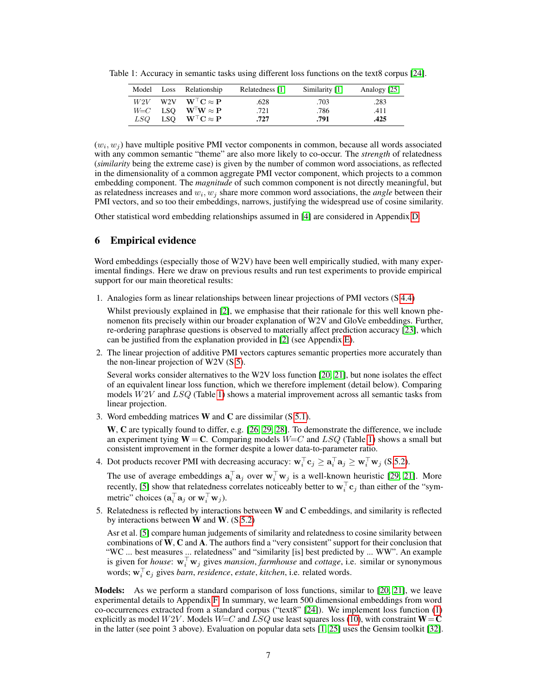|     | Model Loss Relationship           | Relatedness [1] | Similarity [1] | Analogy [25] |
|-----|-----------------------------------|-----------------|----------------|--------------|
|     | $W2V$ W2V $W^{\top}C \approx P$   | .628            | .703           | .283         |
|     | $W = C$ LSQ $W^{\top}W \approx P$ | .721            | .786           | .411         |
| LSO | LSQ $W^{\top}C \approx P$         | .727            | .791           | .425         |

<span id="page-6-0"></span>Table 1: Accuracy in semantic tasks using different loss functions on the text8 corpus [\[24\]](#page-9-14).

 $(w_i, w_j)$  have multiple positive PMI vector components in common, because all words associated with any common semantic "theme" are also more likely to co-occur. The *strength* of relatedness (*similarity* being the extreme case) is given by the number of common word associations, as reflected in the dimensionality of a common aggregate PMI vector component, which projects to a common embedding component. The *magnitude* of such common component is not directly meaningful, but as relatedness increases and  $w_i, w_j$  share more common word associations, the *angle* between their PMI vectors, and so too their embeddings, narrows, justifying the widespread use of cosine similarity.

Other statistical word embedding relationships assumed in [\[4\]](#page-8-3) are considered in Appendix D.

# 6 Empirical evidence

Word embeddings (especially those of W2V) have been well empirically studied, with many experimental findings. Here we draw on previous results and run test experiments to provide empirical support for our main theoretical results:

1. Analogies form as linear relationships between linear projections of PMI vectors (S[.4.4\)](#page-4-5)

Whilst previously explained in [\[2\]](#page-8-5), we emphasise that their rationale for this well known phenomenon fits precisely within our broader explanation of W2V and GloVe embeddings. Further, re-ordering paraphrase questions is observed to materially affect prediction accuracy [\[23\]](#page-9-10), which can be justified from the explanation provided in [\[2\]](#page-8-5) (see Appendix E).

2. The linear projection of additive PMI vectors captures semantic properties more accurately than the non-linear projection of W2V (S[.5\)](#page-4-6).

Several works consider alternatives to the W2V loss function [\[20,](#page-9-8) [21\]](#page-9-15), but none isolates the effect of an equivalent linear loss function, which we therefore implement (detail below). Comparing models  $W2V$  and  $LSQ$  (Table [1\)](#page-6-0) shows a material improvement across all semantic tasks from linear projection.

3. Word embedding matrices W and C are dissimilar (S[.5.1\)](#page-4-7).

W, C are typically found to differ, e.g. [\[26,](#page-9-2) [29,](#page-9-1) [28\]](#page-9-16). To demonstrate the difference, we include an experiment tying  $W = C$ . Comparing models  $W = C$  and  $LSQ$  (Table [1\)](#page-6-0) shows a small but consistent improvement in the former despite a lower data-to-parameter ratio.

4. Dot products recover PMI with decreasing accuracy:  $\mathbf{w}_i^{\top} \mathbf{c}_j \geq \mathbf{a}_i^{\top} \mathbf{a}_j \geq \mathbf{w}_i^{\top} \mathbf{w}_j$  (S[.5.2\)](#page-5-0).

The use of average embeddings  $\mathbf{a}_i^{\top} \mathbf{a}_j$  over  $\mathbf{w}_i^{\top} \mathbf{w}_j$  is a well-known heuristic [\[29,](#page-9-1) [21\]](#page-9-15). More recently, [\[5\]](#page-8-6) show that relatedness correlates noticeably better to  $\mathbf{w}_i^\top \mathbf{c}_j$  than either of the "symmetric" choices  $(\mathbf{a}_i^{\top} \mathbf{a}_j \text{ or } \mathbf{w}_i^{\top} \mathbf{w}_j)$ .

5. Relatedness is reflected by interactions between W and C embeddings, and similarity is reflected by interactions between  $W$  and  $W$ . (S[.5.2\)](#page-5-0)

Asr et al. [\[5\]](#page-8-6) compare human judgements of similarity and relatedness to cosine similarity between combinations of W, C and A. The authors find a "very consistent" support for their conclusion that "WC ... best measures ... relatedness" and "similarity [is] best predicted by ... WW". An example is given for *house*:  $\mathbf{w}_i^{\top} \mathbf{w}_j$  gives *mansion*, *farmhouse* and *cottage*, i.e. similar or synonymous words;  $\mathbf{w}_i^{\top} \mathbf{c}_j$  gives *barn, residence, estate, kitchen,* i.e. related words.

Models: As we perform a standard comparison of loss functions, similar to [\[20,](#page-9-8) [21\]](#page-9-15), we leave experimental details to Appendix F. In summary, we learn 500 dimensional embeddings from word co-occurrences extracted from a standard corpus ("text8" [\[24\]](#page-9-14)). We implement loss function [\(1\)](#page-1-0) explicitly as model  $W2V$ . Models  $W=C$  and  $LSQ$  use least squares loss [\(10\)](#page-4-8), with constraint  $W=C$ in the latter (see point 3 above). Evaluation on popular data sets [\[1,](#page-8-13) [25\]](#page-9-0) uses the Gensim toolkit [\[32\]](#page-9-17).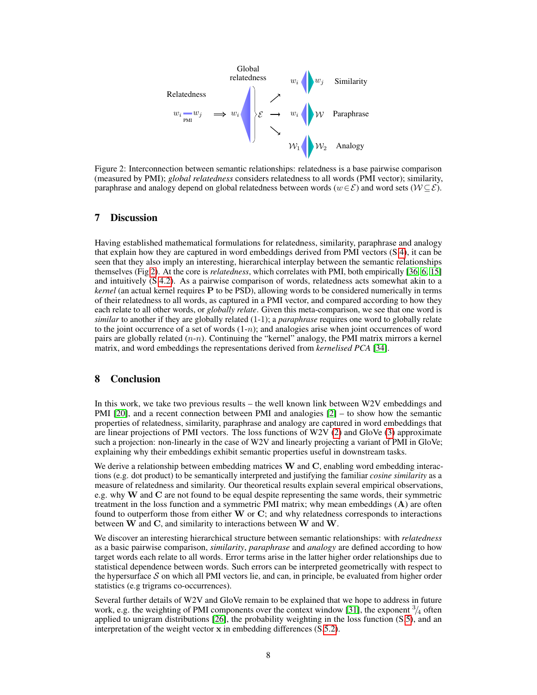<span id="page-7-0"></span>

Figure 2: Interconnection between semantic relationships: relatedness is a base pairwise comparison (measured by PMI); *global relatedness* considers relatedness to all words (PMI vector); similarity, paraphrase and analogy depend on global relatedness between words ( $w \in \mathcal{E}$ ) and word sets ( $W \subseteq \mathcal{E}$ ).

## 7 Discussion

Having established mathematical formulations for relatedness, similarity, paraphrase and analogy that explain how they are captured in word embeddings derived from PMI vectors (S[.4\)](#page-2-1), it can be seen that they also imply an interesting, hierarchical interplay between the semantic relationships themselves (Fig [2\)](#page-7-0). At the core is *relatedness*, which correlates with PMI, both empirically [\[36,](#page-10-1) [6,](#page-8-10) [15\]](#page-8-11) and intuitively (S[.4.2\)](#page-3-5). As a pairwise comparison of words, relatedness acts somewhat akin to a *kernel* (an actual kernel requires P to be PSD), allowing words to be considered numerically in terms of their relatedness to all words, as captured in a PMI vector, and compared according to how they each relate to all other words, or *globally relate*. Given this meta-comparison, we see that one word is *similar* to another if they are globally related (1-1); a *paraphrase* requires one word to globally relate to the joint occurrence of a set of words  $(1-n)$ ; and analogies arise when joint occurrences of word pairs are globally related  $(n-n)$ . Continuing the "kernel" analogy, the PMI matrix mirrors a kernel matrix, and word embeddings the representations derived from *kernelised PCA* [\[34\]](#page-9-18).

## 8 Conclusion

In this work, we take two previous results – the well known link between W2V embeddings and PMI [\[20\]](#page-9-8), and a recent connection between PMI and analogies [\[2\]](#page-8-5) – to show how the semantic properties of relatedness, similarity, paraphrase and analogy are captured in word embeddings that are linear projections of PMI vectors. The loss functions of W2V [\(2\)](#page-1-1) and GloVe [\(3\)](#page-1-3) approximate such a projection: non-linearly in the case of W2V and linearly projecting a variant of PMI in GloVe; explaining why their embeddings exhibit semantic properties useful in downstream tasks.

We derive a relationship between embedding matrices  $W$  and  $C$ , enabling word embedding interactions (e.g. dot product) to be semantically interpreted and justifying the familiar *cosine similarity* as a measure of relatedness and similarity. Our theoretical results explain several empirical observations, e.g. why  $W$  and  $C$  are not found to be equal despite representing the same words, their symmetric treatment in the loss function and a symmetric PMI matrix; why mean embeddings  $(A)$  are often found to outperform those from either  $W$  or  $C$ ; and why relatedness corresponds to interactions between W and C, and similarity to interactions between W and W.

We discover an interesting hierarchical structure between semantic relationships: with *relatedness* as a basic pairwise comparison, *similarity*, *paraphrase* and *analogy* are defined according to how target words each relate to all words. Error terms arise in the latter higher order relationships due to statistical dependence between words. Such errors can be interpreted geometrically with respect to the hypersurface  $S$  on which all PMI vectors lie, and can, in principle, be evaluated from higher order statistics (e.g trigrams co-occurrences).

Several further details of W2V and GloVe remain to be explained that we hope to address in future work, e.g. the weighting of PMI components over the context window [\[31\]](#page-9-6), the exponent  $\frac{3}{4}$  often applied to unigram distributions [\[26\]](#page-9-2), the probability weighting in the loss function (S[.5\)](#page-4-6), and an interpretation of the weight vector x in embedding differences (S[.5.2\)](#page-5-0).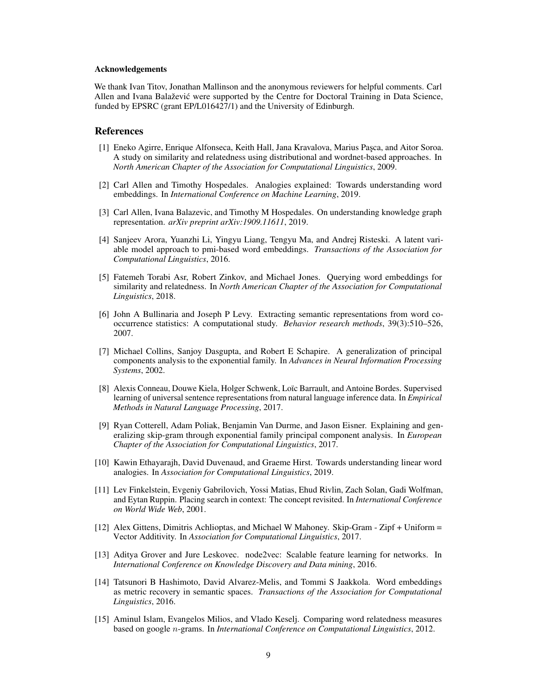#### Acknowledgements

We thank Ivan Titov, Jonathan Mallinson and the anonymous reviewers for helpful comments. Carl Allen and Ivana Balaževic were supported by the Centre for Doctoral Training in Data Science, ´ funded by EPSRC (grant EP/L016427/1) and the University of Edinburgh.

#### References

- <span id="page-8-13"></span>[1] Eneko Agirre, Enrique Alfonseca, Keith Hall, Jana Kravalova, Marius Pasca, and Aitor Soroa. A study on similarity and relatedness using distributional and wordnet-based approaches. In *North American Chapter of the Association for Computational Linguistics*, 2009.
- <span id="page-8-5"></span>[2] Carl Allen and Timothy Hospedales. Analogies explained: Towards understanding word embeddings. In *International Conference on Machine Learning*, 2019.
- <span id="page-8-12"></span>[3] Carl Allen, Ivana Balazevic, and Timothy M Hospedales. On understanding knowledge graph representation. *arXiv preprint arXiv:1909.11611*, 2019.
- <span id="page-8-3"></span>[4] Sanjeev Arora, Yuanzhi Li, Yingyu Liang, Tengyu Ma, and Andrej Risteski. A latent variable model approach to pmi-based word embeddings. *Transactions of the Association for Computational Linguistics*, 2016.
- <span id="page-8-6"></span>[5] Fatemeh Torabi Asr, Robert Zinkov, and Michael Jones. Querying word embeddings for similarity and relatedness. In *North American Chapter of the Association for Computational Linguistics*, 2018.
- <span id="page-8-10"></span>[6] John A Bullinaria and Joseph P Levy. Extracting semantic representations from word cooccurrence statistics: A computational study. *Behavior research methods*, 39(3):510–526, 2007.
- <span id="page-8-7"></span>[7] Michael Collins, Sanjoy Dasgupta, and Robert E Schapire. A generalization of principal components analysis to the exponential family. In *Advances in Neural Information Processing Systems*, 2002.
- <span id="page-8-1"></span>[8] Alexis Conneau, Douwe Kiela, Holger Schwenk, Loïc Barrault, and Antoine Bordes. Supervised learning of universal sentence representations from natural language inference data. In *Empirical Methods in Natural Language Processing*, 2017.
- <span id="page-8-4"></span>[9] Ryan Cotterell, Adam Poliak, Benjamin Van Durme, and Jason Eisner. Explaining and generalizing skip-gram through exponential family principal component analysis. In *European Chapter of the Association for Computational Linguistics*, 2017.
- <span id="page-8-9"></span>[10] Kawin Ethayarajh, David Duvenaud, and Graeme Hirst. Towards understanding linear word analogies. In *Association for Computational Linguistics*, 2019.
- [11] Lev Finkelstein, Evgeniy Gabrilovich, Yossi Matias, Ehud Rivlin, Zach Solan, Gadi Wolfman, and Eytan Ruppin. Placing search in context: The concept revisited. In *International Conference on World Wide Web*, 2001.
- <span id="page-8-8"></span>[12] Alex Gittens, Dimitris Achlioptas, and Michael W Mahoney. Skip-Gram - Zipf + Uniform = Vector Additivity. In *Association for Computational Linguistics*, 2017.
- <span id="page-8-0"></span>[13] Aditya Grover and Jure Leskovec. node2vec: Scalable feature learning for networks. In *International Conference on Knowledge Discovery and Data mining*, 2016.
- <span id="page-8-2"></span>[14] Tatsunori B Hashimoto, David Alvarez-Melis, and Tommi S Jaakkola. Word embeddings as metric recovery in semantic spaces. *Transactions of the Association for Computational Linguistics*, 2016.
- <span id="page-8-11"></span>[15] Aminul Islam, Evangelos Milios, and Vlado Keselj. Comparing word relatedness measures based on google n-grams. In *International Conference on Computational Linguistics*, 2012.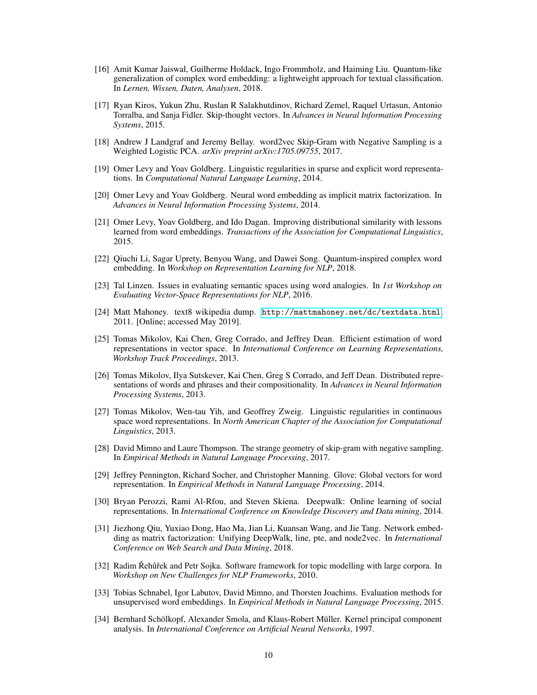- <span id="page-9-11"></span>[16] Amit Kumar Jaiswal, Guilherme Holdack, Ingo Frommholz, and Haiming Liu. Quantum-like generalization of complex word embedding: a lightweight approach for textual classification. In *Lernen, Wissen, Daten, Analysen*, 2018.
- <span id="page-9-7"></span>[17] Ryan Kiros, Yukun Zhu, Ruslan R Salakhutdinov, Richard Zemel, Raquel Urtasun, Antonio Torralba, and Sanja Fidler. Skip-thought vectors. In *Advances in Neural Information Processing Systems*, 2015.
- <span id="page-9-9"></span>[18] Andrew J Landgraf and Jeremy Bellay. word2vec Skip-Gram with Negative Sampling is a Weighted Logistic PCA. *arXiv preprint arXiv:1705.09755*, 2017.
- <span id="page-9-4"></span>[19] Omer Levy and Yoav Goldberg. Linguistic regularities in sparse and explicit word representations. In *Computational Natural Language Learning*, 2014.
- <span id="page-9-8"></span>[20] Omer Levy and Yoav Goldberg. Neural word embedding as implicit matrix factorization. In *Advances in Neural Information Processing Systems*, 2014.
- <span id="page-9-15"></span>[21] Omer Levy, Yoav Goldberg, and Ido Dagan. Improving distributional similarity with lessons learned from word embeddings. *Transactions of the Association for Computational Linguistics*, 2015.
- <span id="page-9-12"></span>[22] Qiuchi Li, Sagar Uprety, Benyou Wang, and Dawei Song. Quantum-inspired complex word embedding. In *Workshop on Representation Learning for NLP*, 2018.
- <span id="page-9-10"></span>[23] Tal Linzen. Issues in evaluating semantic spaces using word analogies. In *1st Workshop on Evaluating Vector-Space Representations for NLP*, 2016.
- <span id="page-9-14"></span>[24] Matt Mahoney. text8 wikipedia dump. <http://mattmahoney.net/dc/textdata.html>, 2011. [Online; accessed May 2019].
- <span id="page-9-0"></span>[25] Tomas Mikolov, Kai Chen, Greg Corrado, and Jeffrey Dean. Efficient estimation of word representations in vector space. In *International Conference on Learning Representations, Workshop Track Proceedings*, 2013.
- <span id="page-9-2"></span>[26] Tomas Mikolov, Ilya Sutskever, Kai Chen, Greg S Corrado, and Jeff Dean. Distributed representations of words and phrases and their compositionality. In *Advances in Neural Information Processing Systems*, 2013.
- <span id="page-9-3"></span>[27] Tomas Mikolov, Wen-tau Yih, and Geoffrey Zweig. Linguistic regularities in continuous space word representations. In *North American Chapter of the Association for Computational Linguistics*, 2013.
- <span id="page-9-16"></span>[28] David Mimno and Laure Thompson. The strange geometry of skip-gram with negative sampling. In *Empirical Methods in Natural Language Processing*, 2017.
- <span id="page-9-1"></span>[29] Jeffrey Pennington, Richard Socher, and Christopher Manning. Glove: Global vectors for word representation. In *Empirical Methods in Natural Language Processing*, 2014.
- <span id="page-9-5"></span>[30] Bryan Perozzi, Rami Al-Rfou, and Steven Skiena. Deepwalk: Online learning of social representations. In *International Conference on Knowledge Discovery and Data mining*, 2014.
- <span id="page-9-6"></span>[31] Jiezhong Qiu, Yuxiao Dong, Hao Ma, Jian Li, Kuansan Wang, and Jie Tang. Network embedding as matrix factorization: Unifying DeepWalk, line, pte, and node2vec. In *International Conference on Web Search and Data Mining*, 2018.
- <span id="page-9-17"></span>[32] Radim Řehůřek and Petr Sojka. Software framework for topic modelling with large corpora. In *Workshop on New Challenges for NLP Frameworks*, 2010.
- <span id="page-9-13"></span>[33] Tobias Schnabel, Igor Labutov, David Mimno, and Thorsten Joachims. Evaluation methods for unsupervised word embeddings. In *Empirical Methods in Natural Language Processing*, 2015.
- <span id="page-9-18"></span>[34] Bernhard Schölkopf, Alexander Smola, and Klaus-Robert Müller. Kernel principal component analysis. In *International Conference on Artificial Neural Networks*, 1997.